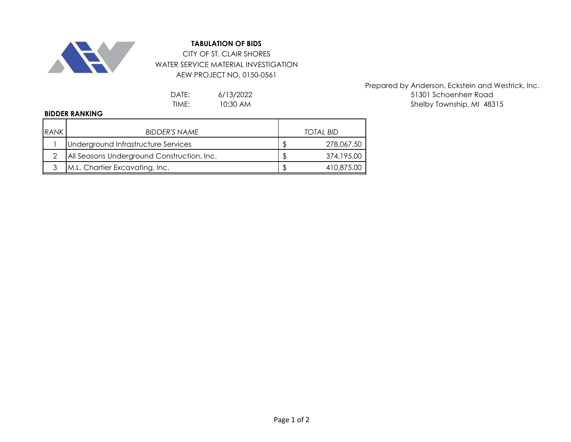

## **TABULATION OF BIDS**

CITY OF ST. CLAIR SHORES WATER SERVICE MATERIAL INVESTIGATION AEW PROJECT NO. 0150-0561

> 6/13/2022 10:30 AM

Prepared by Anderson, Eckstein and Westrick, Inc. DATE: 6/13/2022 6/13/2022 51301 Schoenherr Road TIME: 10:30 AM 10:30 AM 10:30 AM 16 Shelby Township, MI 48315

## **BIDDER RANKING**

| RANK | <b>BIDDER'S NAME</b>                       | TOTAL BID  |
|------|--------------------------------------------|------------|
|      | Underground Infrastructure Services        | 278,067.50 |
|      | All Seasons Underground Construction, Inc. | 374,195.00 |
| ാ    | M.L. Chartier Excavating, Inc.             | 410,875,00 |